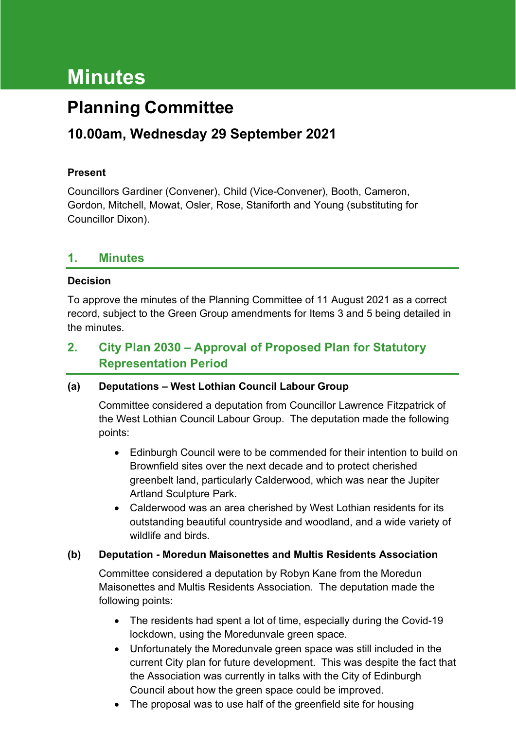# **Minutes**

## **Planning Committee**

### **10.00am, Wednesday 29 September 2021**

#### **Present**

Councillors Gardiner (Convener), Child (Vice-Convener), Booth, Cameron, Gordon, Mitchell, Mowat, Osler, Rose, Staniforth and Young (substituting for Councillor Dixon).

#### **1. Minutes**

#### **Decision**

To approve the minutes of the Planning Committee of 11 August 2021 as a correct record, subject to the Green Group amendments for Items 3 and 5 being detailed in the minutes.

#### **2. City Plan 2030 – Approval of Proposed Plan for Statutory Representation Period**

#### **(a) Deputations – West Lothian Council Labour Group**

Committee considered a deputation from Councillor Lawrence Fitzpatrick of the West Lothian Council Labour Group. The deputation made the following points:

- Edinburgh Council were to be commended for their intention to build on Brownfield sites over the next decade and to protect cherished greenbelt land, particularly Calderwood, which was near the Jupiter Artland Sculpture Park.
- Calderwood was an area cherished by West Lothian residents for its outstanding beautiful countryside and woodland, and a wide variety of wildlife and birds.

#### **(b) Deputation - Moredun Maisonettes and Multis Residents Association**

Committee considered a deputation by Robyn Kane from the Moredun Maisonettes and Multis Residents Association. The deputation made the following points:

- The residents had spent a lot of time, especially during the Covid-19 lockdown, using the Moredunvale green space.
- Unfortunately the Moredunvale green space was still included in the current City plan for future development. This was despite the fact that the Association was currently in talks with the City of Edinburgh Council about how the green space could be improved.
- The proposal was to use half of the greenfield site for housing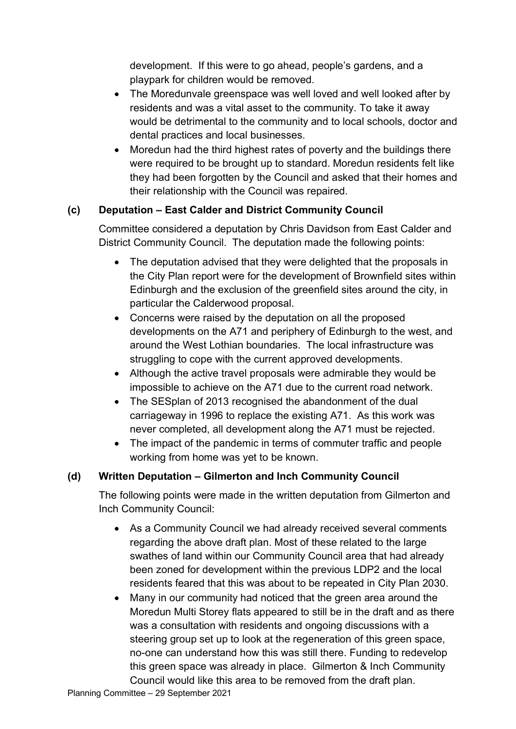development. If this were to go ahead, people's gardens, and a playpark for children would be removed.

- The Moredunvale greenspace was well loved and well looked after by residents and was a vital asset to the community. To take it away would be detrimental to the community and to local schools, doctor and dental practices and local businesses.
- Moredun had the third highest rates of poverty and the buildings there were required to be brought up to standard. Moredun residents felt like they had been forgotten by the Council and asked that their homes and their relationship with the Council was repaired.

#### **(c) Deputation – East Calder and District Community Council**

Committee considered a deputation by Chris Davidson from East Calder and District Community Council. The deputation made the following points:

- The deputation advised that they were delighted that the proposals in the City Plan report were for the development of Brownfield sites within Edinburgh and the exclusion of the greenfield sites around the city, in particular the Calderwood proposal.
- Concerns were raised by the deputation on all the proposed developments on the A71 and periphery of Edinburgh to the west, and around the West Lothian boundaries. The local infrastructure was struggling to cope with the current approved developments.
- Although the active travel proposals were admirable they would be impossible to achieve on the A71 due to the current road network.
- The SESplan of 2013 recognised the abandonment of the dual carriageway in 1996 to replace the existing A71. As this work was never completed, all development along the A71 must be rejected.
- The impact of the pandemic in terms of commuter traffic and people working from home was yet to be known.

#### **(d) Written Deputation – Gilmerton and Inch Community Council**

The following points were made in the written deputation from Gilmerton and Inch Community Council:

- As a Community Council we had already received several comments regarding the above draft plan. Most of these related to the large swathes of land within our Community Council area that had already been zoned for development within the previous LDP2 and the local residents feared that this was about to be repeated in City Plan 2030.
- Many in our community had noticed that the green area around the Moredun Multi Storey flats appeared to still be in the draft and as there was a consultation with residents and ongoing discussions with a steering group set up to look at the regeneration of this green space, no-one can understand how this was still there. Funding to redevelop this green space was already in place. Gilmerton & Inch Community Council would like this area to be removed from the draft plan.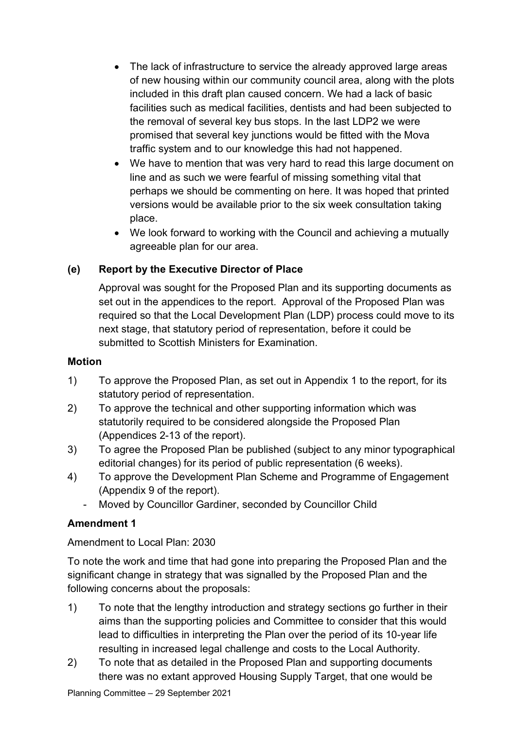- The lack of infrastructure to service the already approved large areas of new housing within our community council area, along with the plots included in this draft plan caused concern. We had a lack of basic facilities such as medical facilities, dentists and had been subjected to the removal of several key bus stops. In the last LDP2 we were promised that several key junctions would be fitted with the Mova traffic system and to our knowledge this had not happened.
- We have to mention that was very hard to read this large document on line and as such we were fearful of missing something vital that perhaps we should be commenting on here. It was hoped that printed versions would be available prior to the six week consultation taking place.
- We look forward to working with the Council and achieving a mutually agreeable plan for our area.

#### **(e) Report by the Executive Director of Place**

Approval was sought for the Proposed Plan and its supporting documents as set out in the appendices to the report. Approval of the Proposed Plan was required so that the Local Development Plan (LDP) process could move to its next stage, that statutory period of representation, before it could be submitted to Scottish Ministers for Examination.

#### **Motion**

- 1) To approve the Proposed Plan, as set out in Appendix 1 to the report, for its statutory period of representation.
- 2) To approve the technical and other supporting information which was statutorily required to be considered alongside the Proposed Plan (Appendices 2-13 of the report).
- 3) To agree the Proposed Plan be published (subject to any minor typographical editorial changes) for its period of public representation (6 weeks).
- 4) To approve the Development Plan Scheme and Programme of Engagement (Appendix 9 of the report).
	- Moved by Councillor Gardiner, seconded by Councillor Child

#### **Amendment 1**

#### Amendment to Local Plan: 2030

To note the work and time that had gone into preparing the Proposed Plan and the significant change in strategy that was signalled by the Proposed Plan and the following concerns about the proposals:

- 1) To note that the lengthy introduction and strategy sections go further in their aims than the supporting policies and Committee to consider that this would lead to difficulties in interpreting the Plan over the period of its 10-year life resulting in increased legal challenge and costs to the Local Authority.
- 2) To note that as detailed in the Proposed Plan and supporting documents there was no extant approved Housing Supply Target, that one would be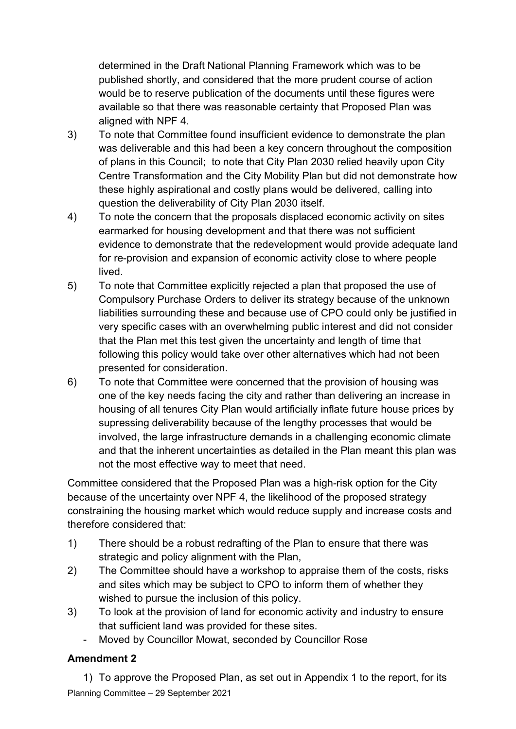determined in the Draft National Planning Framework which was to be published shortly, and considered that the more prudent course of action would be to reserve publication of the documents until these figures were available so that there was reasonable certainty that Proposed Plan was aligned with NPF 4.

- 3) To note that Committee found insufficient evidence to demonstrate the plan was deliverable and this had been a key concern throughout the composition of plans in this Council; to note that City Plan 2030 relied heavily upon City Centre Transformation and the City Mobility Plan but did not demonstrate how these highly aspirational and costly plans would be delivered, calling into question the deliverability of City Plan 2030 itself.
- 4) To note the concern that the proposals displaced economic activity on sites earmarked for housing development and that there was not sufficient evidence to demonstrate that the redevelopment would provide adequate land for re-provision and expansion of economic activity close to where people lived.
- 5) To note that Committee explicitly rejected a plan that proposed the use of Compulsory Purchase Orders to deliver its strategy because of the unknown liabilities surrounding these and because use of CPO could only be justified in very specific cases with an overwhelming public interest and did not consider that the Plan met this test given the uncertainty and length of time that following this policy would take over other alternatives which had not been presented for consideration.
- 6) To note that Committee were concerned that the provision of housing was one of the key needs facing the city and rather than delivering an increase in housing of all tenures City Plan would artificially inflate future house prices by supressing deliverability because of the lengthy processes that would be involved, the large infrastructure demands in a challenging economic climate and that the inherent uncertainties as detailed in the Plan meant this plan was not the most effective way to meet that need.

Committee considered that the Proposed Plan was a high-risk option for the City because of the uncertainty over NPF 4, the likelihood of the proposed strategy constraining the housing market which would reduce supply and increase costs and therefore considered that:

- 1) There should be a robust redrafting of the Plan to ensure that there was strategic and policy alignment with the Plan,
- 2) The Committee should have a workshop to appraise them of the costs, risks and sites which may be subject to CPO to inform them of whether they wished to pursue the inclusion of this policy.
- 3) To look at the provision of land for economic activity and industry to ensure that sufficient land was provided for these sites.
	- Moved by Councillor Mowat, seconded by Councillor Rose

#### **Amendment 2**

Planning Committee – 29 September 2021 1) To approve the Proposed Plan, as set out in Appendix 1 to the report, for its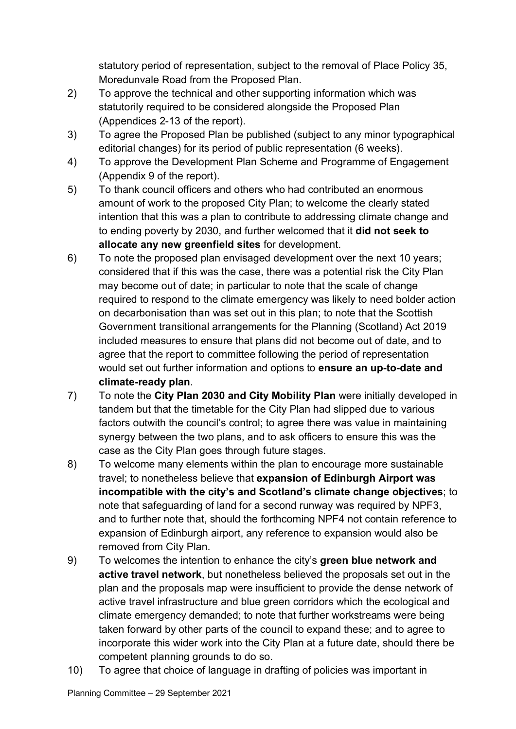statutory period of representation, subject to the removal of Place Policy 35, Moredunvale Road from the Proposed Plan.

- 2) To approve the technical and other supporting information which was statutorily required to be considered alongside the Proposed Plan (Appendices 2-13 of the report).
- 3) To agree the Proposed Plan be published (subject to any minor typographical editorial changes) for its period of public representation (6 weeks).
- 4) To approve the Development Plan Scheme and Programme of Engagement (Appendix 9 of the report).
- 5) To thank council officers and others who had contributed an enormous amount of work to the proposed City Plan; to welcome the clearly stated intention that this was a plan to contribute to addressing climate change and to ending poverty by 2030, and further welcomed that it **did not seek to allocate any new greenfield sites** for development.
- 6) To note the proposed plan envisaged development over the next 10 years; considered that if this was the case, there was a potential risk the City Plan may become out of date; in particular to note that the scale of change required to respond to the climate emergency was likely to need bolder action on decarbonisation than was set out in this plan; to note that the Scottish Government transitional arrangements for the Planning (Scotland) Act 2019 included measures to ensure that plans did not become out of date, and to agree that the report to committee following the period of representation would set out further information and options to **ensure an up-to-date and climate-ready plan**.
- 7) To note the **City Plan 2030 and City Mobility Plan** were initially developed in tandem but that the timetable for the City Plan had slipped due to various factors outwith the council's control; to agree there was value in maintaining synergy between the two plans, and to ask officers to ensure this was the case as the City Plan goes through future stages.
- 8) To welcome many elements within the plan to encourage more sustainable travel; to nonetheless believe that **expansion of Edinburgh Airport was incompatible with the city's and Scotland's climate change objectives**; to note that safeguarding of land for a second runway was required by NPF3, and to further note that, should the forthcoming NPF4 not contain reference to expansion of Edinburgh airport, any reference to expansion would also be removed from City Plan.
- 9) To welcomes the intention to enhance the city's **green blue network and active travel network**, but nonetheless believed the proposals set out in the plan and the proposals map were insufficient to provide the dense network of active travel infrastructure and blue green corridors which the ecological and climate emergency demanded; to note that further workstreams were being taken forward by other parts of the council to expand these; and to agree to incorporate this wider work into the City Plan at a future date, should there be competent planning grounds to do so.
- 10) To agree that choice of language in drafting of policies was important in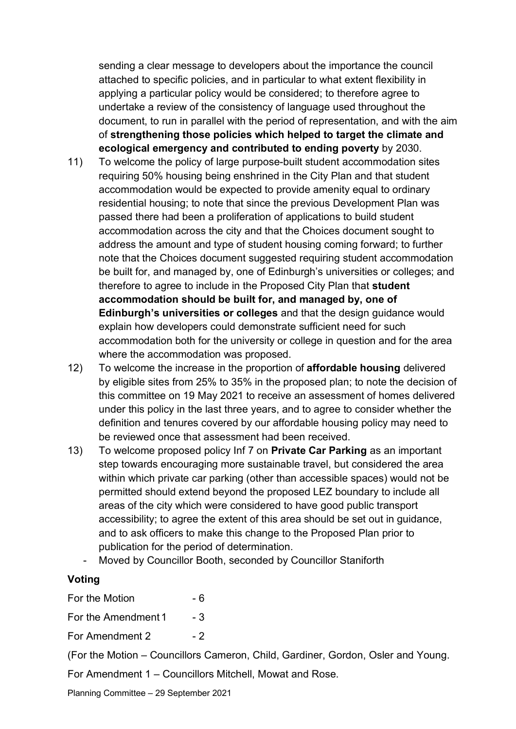sending a clear message to developers about the importance the council attached to specific policies, and in particular to what extent flexibility in applying a particular policy would be considered; to therefore agree to undertake a review of the consistency of language used throughout the document, to run in parallel with the period of representation, and with the aim of **strengthening those policies which helped to target the climate and ecological emergency and contributed to ending poverty** by 2030.

- 11) To welcome the policy of large purpose-built student accommodation sites requiring 50% housing being enshrined in the City Plan and that student accommodation would be expected to provide amenity equal to ordinary residential housing; to note that since the previous Development Plan was passed there had been a proliferation of applications to build student accommodation across the city and that the Choices document sought to address the amount and type of student housing coming forward; to further note that the Choices document suggested requiring student accommodation be built for, and managed by, one of Edinburgh's universities or colleges; and therefore to agree to include in the Proposed City Plan that **student accommodation should be built for, and managed by, one of Edinburgh's universities or colleges** and that the design guidance would explain how developers could demonstrate sufficient need for such accommodation both for the university or college in question and for the area where the accommodation was proposed.
- 12) To welcome the increase in the proportion of **affordable housing** delivered by eligible sites from 25% to 35% in the proposed plan; to note the decision of this committee on 19 May 2021 to receive an assessment of homes delivered under this policy in the last three years, and to agree to consider whether the definition and tenures covered by our affordable housing policy may need to be reviewed once that assessment had been received.
- 13) To welcome proposed policy Inf 7 on **Private Car Parking** as an important step towards encouraging more sustainable travel, but considered the area within which private car parking (other than accessible spaces) would not be permitted should extend beyond the proposed LEZ boundary to include all areas of the city which were considered to have good public transport accessibility; to agree the extent of this area should be set out in guidance, and to ask officers to make this change to the Proposed Plan prior to publication for the period of determination.
	- Moved by Councillor Booth, seconded by Councillor Staniforth

#### **Voting**

For the Motion  $-6$ 

For the Amendment 1 - 3

For Amendment 2 - 2

(For the Motion – Councillors Cameron, Child, Gardiner, Gordon, Osler and Young.

For Amendment 1 – Councillors Mitchell, Mowat and Rose.

Planning Committee – 29 September 2021